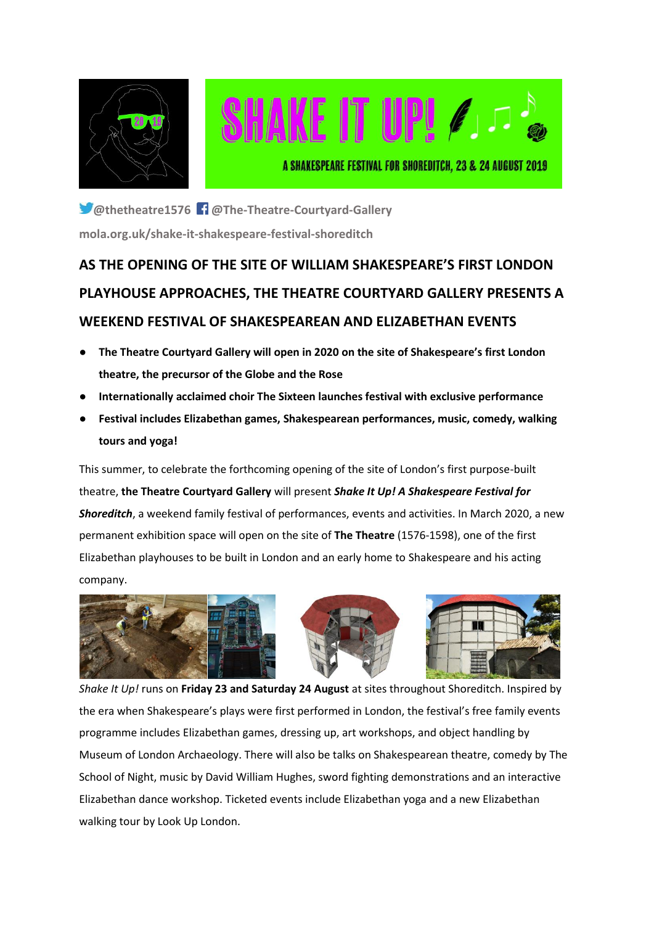



**@thetheatre1576 @The-Theatre-Courtyard-Gallery [mola.org.uk/shake-it-shakespeare-festival-shoreditch](https://www.mola.org.uk/shake-it-shakespeare-festival-shoreditch)**

# **AS THE OPENING OF THE SITE OF WILLIAM SHAKESPEARE'S FIRST LONDON PLAYHOUSE APPROACHES, THE THEATRE COURTYARD GALLERY PRESENTS A WEEKEND FESTIVAL OF SHAKESPEAREAN AND ELIZABETHAN EVENTS**

- **The Theatre Courtyard Gallery will open in 2020 on the site of Shakespeare's first London theatre, the precursor of the Globe and the Rose**
- **Internationally acclaimed choir The Sixteen launches festival with exclusive performance**
- **Festival includes Elizabethan games, Shakespearean performances, music, comedy, walking tours and yoga!**

This summer, to celebrate the forthcoming opening of the site of London's first purpose-built theatre, **the Theatre Courtyard Gallery** will present *Shake It Up! A Shakespeare Festival for Shoreditch*, a weekend family festival of performances, events and activities. In March 2020, a new permanent exhibition space will open on the site of **The Theatre** (1576-1598), one of the first Elizabethan playhouses to be built in London and an early home to Shakespeare and his acting company.







*Shake It Up!* runs on **Friday 23 and Saturday 24 August** at sites throughout Shoreditch. Inspired by the era when Shakespeare's plays were first performed in London, the festival's free family events programme includes Elizabethan games, dressing up, art workshops, and object handling by Museum of London Archaeology. There will also be talks on Shakespearean theatre, comedy by The School of Night, music by David William Hughes, sword fighting demonstrations and an interactive Elizabethan dance workshop. Ticketed events include Elizabethan yoga and a new Elizabethan walking tour by Look Up London.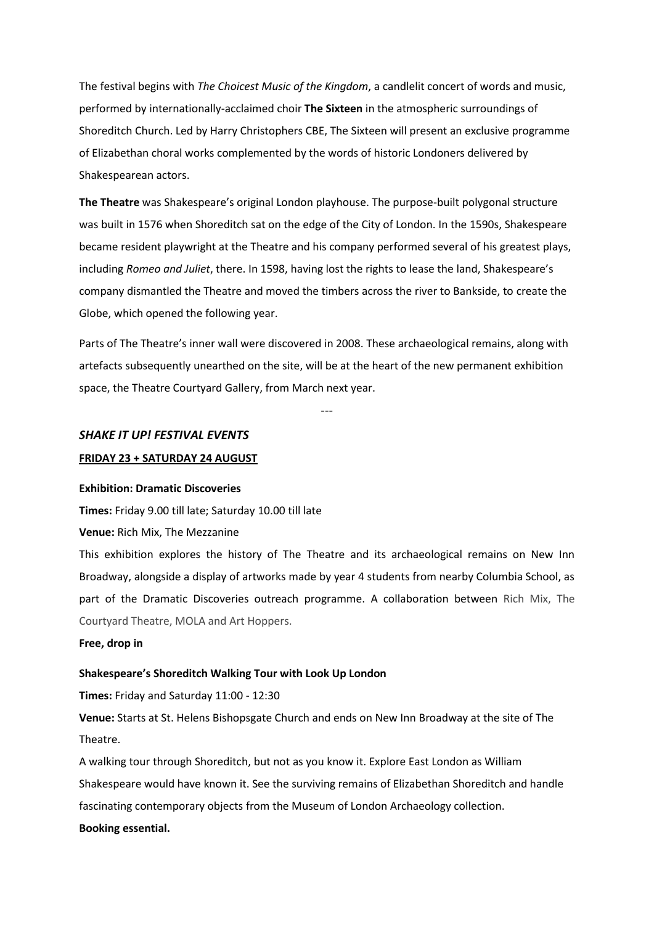The festival begins with *The Choicest Music of the Kingdom*, a candlelit concert of words and music, performed by internationally-acclaimed choir **The Sixteen** in the atmospheric surroundings of Shoreditch Church. Led by Harry Christophers CBE, The Sixteen will present an exclusive programme of Elizabethan choral works complemented by the words of historic Londoners delivered by Shakespearean actors.

**The Theatre** was Shakespeare's original London playhouse. The purpose-built polygonal structure was built in 1576 when Shoreditch sat on the edge of the City of London. In the 1590s, Shakespeare became resident playwright at the Theatre and his company performed several of his greatest plays, including *Romeo and Juliet*, there. In 1598, having lost the rights to lease the land, Shakespeare's company dismantled the Theatre and moved the timbers across the river to Bankside, to create the Globe, which opened the following year.

Parts of The Theatre's inner wall were discovered in 2008. These archaeological remains, along with artefacts subsequently unearthed on the site, will be at the heart of the new permanent exhibition space, the Theatre Courtyard Gallery, from March next year.

---

#### *SHAKE IT UP! FESTIVAL EVENTS*

#### **FRIDAY 23 + SATURDAY 24 AUGUST**

#### **Exhibition: Dramatic Discoveries**

**Times:** Friday 9.00 till late; Saturday 10.00 till late

**Venue:** Rich Mix, The Mezzanine

This exhibition explores the history of The Theatre and its archaeological remains on New Inn Broadway, alongside a display of artworks made by year 4 students from nearby Columbia School, as part of the Dramatic Discoveries outreach programme. A collaboration between Rich Mix, The Courtyard Theatre, MOLA and Art Hoppers.

#### **Free, drop in**

#### **Shakespeare's Shoreditch Walking Tour with Look Up London**

**Times:** Friday and Saturday 11:00 - 12:30

**Venue:** Starts at St. Helens Bishopsgate Church and ends on New Inn Broadway at the site of The Theatre.

A walking tour through Shoreditch, but not as you know it. Explore East London as William Shakespeare would have known it. See the surviving remains of Elizabethan Shoreditch and handle fascinating contemporary objects from the Museum of London Archaeology collection. **Booking essential.**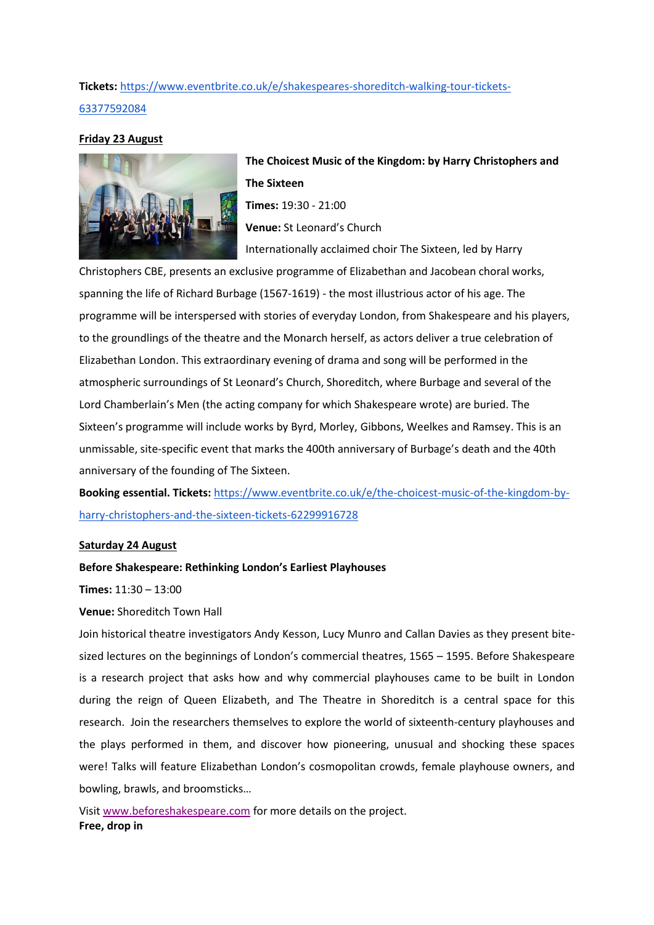# **Tickets:** [https://www.eventbrite.co.uk/e/shakespeares-shoreditch-walking-tour-tickets-](https://www.eventbrite.co.uk/e/shakespeares-shoreditch-walking-tour-tickets-63377592084)[63377592084](https://www.eventbrite.co.uk/e/shakespeares-shoreditch-walking-tour-tickets-63377592084)

# **Friday 23 August**



**The Choicest Music of the Kingdom: by Harry Christophers and The Sixteen Times:** 19:30 - 21:00 **Venue:** St Leonard's Church Internationally acclaimed choir The Sixteen, led by Harry

Christophers CBE, presents an exclusive programme of Elizabethan and Jacobean choral works, spanning the life of Richard Burbage (1567-1619) - the most illustrious actor of his age. The programme will be interspersed with stories of everyday London, from Shakespeare and his players, to the groundlings of the theatre and the Monarch herself, as actors deliver a true celebration of Elizabethan London. This extraordinary evening of drama and song will be performed in the atmospheric surroundings of St Leonard's Church, Shoreditch, where Burbage and several of the Lord Chamberlain's Men (the acting company for which Shakespeare wrote) are buried. The Sixteen's programme will include works by Byrd, Morley, Gibbons, Weelkes and Ramsey. This is an unmissable, site-specific event that marks the 400th anniversary of Burbage's death and the 40th anniversary of the founding of The Sixteen.

**Booking essential. Tickets:** [https://www.eventbrite.co.uk/e/the-choicest-music-of-the-kingdom-by](https://www.eventbrite.co.uk/e/the-choicest-music-of-the-kingdom-by-harry-christophers-and-the-sixteen-tickets-62299916728)[harry-christophers-and-the-sixteen-tickets-62299916728](https://www.eventbrite.co.uk/e/the-choicest-music-of-the-kingdom-by-harry-christophers-and-the-sixteen-tickets-62299916728)

# **Saturday 24 August**

# **Before Shakespeare: Rethinking London's Earliest Playhouses**

**Times:** 11:30 – 13:00

**Venue:** Shoreditch Town Hall

Join historical theatre investigators Andy Kesson, Lucy Munro and Callan Davies as they present bitesized lectures on the beginnings of London's commercial theatres, 1565 – 1595. Before Shakespeare is a research project that asks how and why commercial playhouses came to be built in London during the reign of Queen Elizabeth, and The Theatre in Shoreditch is a central space for this research. Join the researchers themselves to explore the world of sixteenth-century playhouses and the plays performed in them, and discover how pioneering, unusual and shocking these spaces were! Talks will feature Elizabethan London's cosmopolitan crowds, female playhouse owners, and bowling, brawls, and broomsticks…

Visit [www.beforeshakespeare.com](https://eur03.safelinks.protection.outlook.com/?url=http%3A%2F%2Fwww.beforeshakespeare.com&data=01%7C01%7Clucy.munro%40kcl.ac.uk%7Ca4a0d7ce05dd4b10ff3408d709c388ed%7C8370cf1416f34c16b83c724071654356%7C0&sdata=lUhVwZDAezXOtvTg2EWvCaXYErzdiO%2FfcNwGCEFYmtU%3D&reserved=0) for more details on the project. **Free, drop in**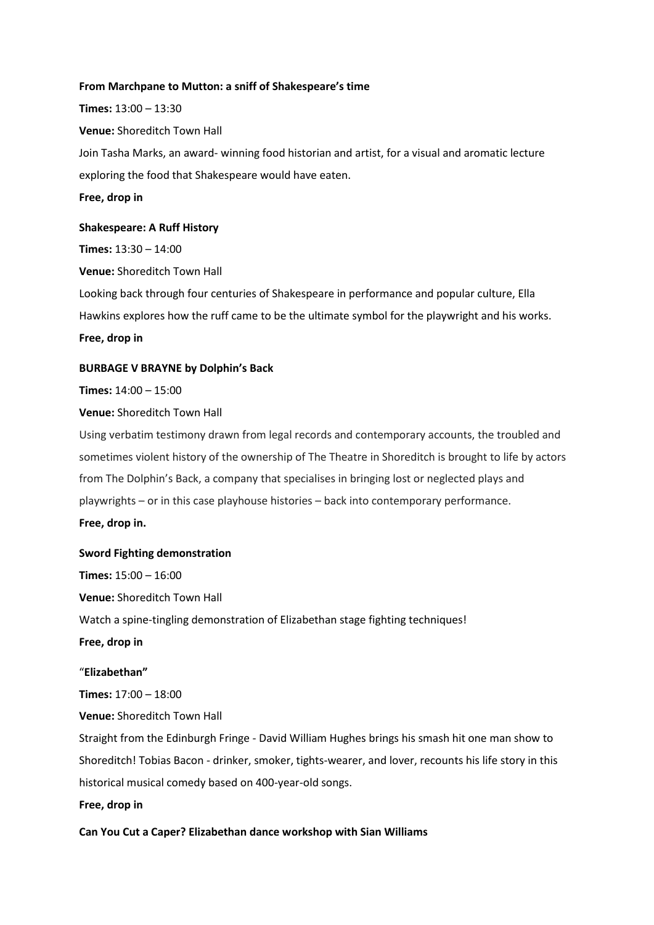#### **From Marchpane to Mutton: a sniff of Shakespeare's time**

**Times:** 13:00 – 13:30 **Venue:** Shoreditch Town Hall Join Tasha Marks, an award- winning food historian and artist, for a visual and aromatic lecture exploring the food that Shakespeare would have eaten.

**Free, drop in**

#### **Shakespeare: A Ruff History**

**Times:** 13:30 – 14:00

**Venue:** Shoreditch Town Hall

Looking back through four centuries of Shakespeare in performance and popular culture, Ella Hawkins explores how the ruff came to be the ultimate symbol for the playwright and his works.

**Free, drop in**

#### **BURBAGE V BRAYNE by Dolphin's Back**

**Times:** 14:00 – 15:00

# **Venue:** Shoreditch Town Hall

Using verbatim testimony drawn from legal records and contemporary accounts, the troubled and sometimes violent history of the ownership of The Theatre in Shoreditch is brought to life by actors from The Dolphin's Back, a company that specialises in bringing lost or neglected plays and playwrights – or in this case playhouse histories – back into contemporary performance.

**Free, drop in.**

# **Sword Fighting demonstration**

**Times:** 15:00 – 16:00 **Venue:** Shoreditch Town Hall Watch a spine-tingling demonstration of Elizabethan stage fighting techniques! **Free, drop in** "**Elizabethan" Times:** 17:00 – 18:00

**Venue:** Shoreditch Town Hall

Straight from the Edinburgh Fringe - David William Hughes brings his smash hit one man show to Shoreditch! Tobias Bacon - drinker, smoker, tights-wearer, and lover, recounts his life story in this historical musical comedy based on 400-year-old songs.

#### **Free, drop in**

**Can You Cut a Caper? Elizabethan dance workshop with Sian Williams**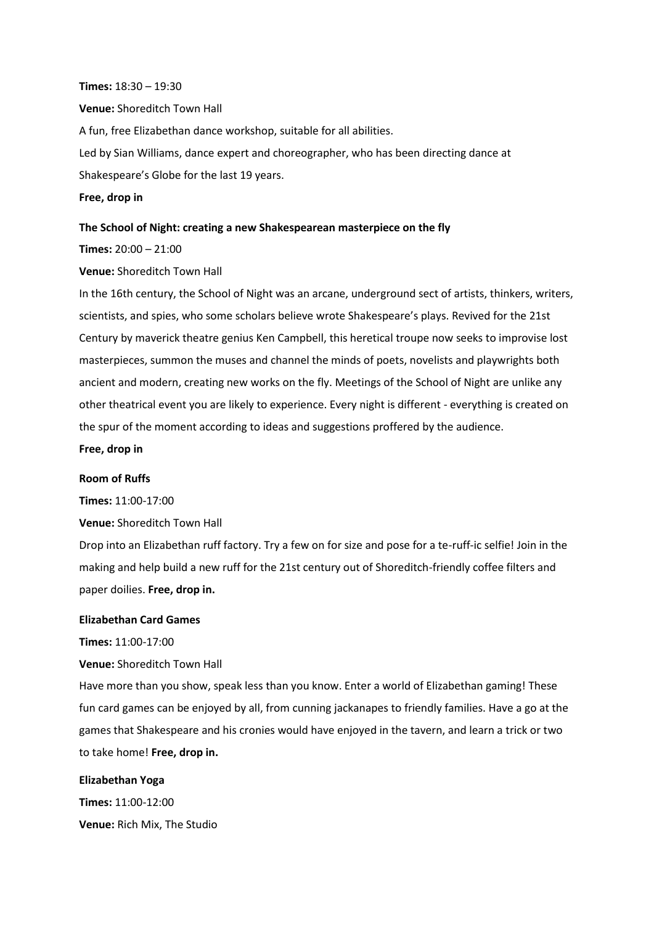#### **Times:** 18:30 – 19:30

**Venue:** Shoreditch Town Hall

A fun, free Elizabethan dance workshop, suitable for all abilities.

Led by Sian Williams, dance expert and choreographer, who has been directing dance at Shakespeare's Globe for the last 19 years.

# **Free, drop in**

#### **The School of Night: creating a new Shakespearean masterpiece on the fly**

**Times:** 20:00 – 21:00

**Venue:** Shoreditch Town Hall

In the 16th century, the School of Night was an arcane, underground sect of artists, thinkers, writers, scientists, and spies, who some scholars believe wrote Shakespeare's plays. Revived for the 21st Century by maverick theatre genius Ken Campbell, this heretical troupe now seeks to improvise lost masterpieces, summon the muses and channel the minds of poets, novelists and playwrights both ancient and modern, creating new works on the fly. Meetings of the School of Night are unlike any other theatrical event you are likely to experience. Every night is different - everything is created on the spur of the moment according to ideas and suggestions proffered by the audience.

#### **Free, drop in**

# **Room of Ruffs**

**Times:** 11:00-17:00

**Venue:** Shoreditch Town Hall

Drop into an Elizabethan ruff factory. Try a few on for size and pose for a te-ruff-ic selfie! Join in the making and help build a new ruff for the 21st century out of Shoreditch-friendly coffee filters and paper doilies. **Free, drop in.**

# **Elizabethan Card Games**

**Times:** 11:00-17:00

**Venue:** Shoreditch Town Hall

Have more than you show, speak less than you know. Enter a world of Elizabethan gaming! These fun card games can be enjoyed by all, from cunning jackanapes to friendly families. Have a go at the games that Shakespeare and his cronies would have enjoyed in the tavern, and learn a trick or two to take home! **Free, drop in.**

#### **Elizabethan Yoga**

**Times:** 11:00-12:00 **Venue:** Rich Mix, The Studio